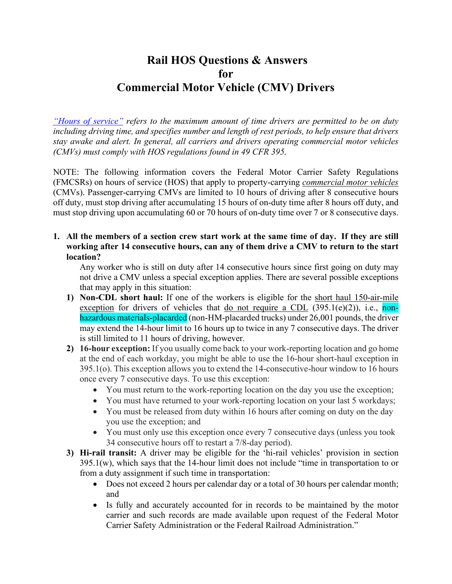# **Rail HOS Questions & Answers for Commercial Motor Vehicle (CMV) Drivers**

*["Hours of service"](https://www.fmcsa.dot.gov/regulations/hours-of-service) refers to the maximum amount of time drivers are permitted to be on duty including driving time, and specifies number and length of rest periods, to help ensure that drivers stay awake and alert. In general, all carriers and drivers operating commercial motor vehicles (CMVs) must comply with HOS regulations found in 49 CFR 395.*

NOTE: The following information covers the Federal Motor Carrier Safety Regulations (FMCSRs) on hours of service (HOS) that apply to property-carrying *[commercial motor vehicles](https://www.ecfr.gov/current/title-49/subtitle-B/chapter-III/subchapter-B/part-390)* (CMVs). Passenger-carrying CMVs are limited to 10 hours of driving after 8 consecutive hours off duty, must stop driving after accumulating 15 hours of on-duty time after 8 hours off duty, and must stop driving upon accumulating 60 or 70 hours of on-duty time over 7 or 8 consecutive days.

# **1. All the members of a section crew start work at the same time of day. If they are still working after 14 consecutive hours, can any of them drive a CMV to return to the start location?**

Any worker who is still on duty after 14 consecutive hours since first going on duty may not drive a CMV unless a special exception applies. There are several possible exceptions that may apply in this situation:

- **1) Non-CDL short haul:** If one of the workers is eligible for the short haul 150-air-mile exception for drivers of vehicles that do not require a CDL  $(395.1(e)(2))$ , i.e., nonhazardous materials-placarded (non-HM-placarded trucks) under 26,001 pounds, the driver may extend the 14-hour limit to 16 hours up to twice in any 7 consecutive days. The driver is still limited to 11 hours of driving, however.
- **2) 16-hour exception:** If you usually come back to your work-reporting location and go home at the end of each workday, you might be able to use the 16-hour short-haul exception in 395.1(o). This exception allows you to extend the 14-consecutive-hour window to 16 hours once every 7 consecutive days. To use this exception:
	- You must return to the work-reporting location on the day you use the exception;
	- You must have returned to your work-reporting location on your last 5 workdays;
	- You must be released from duty within 16 hours after coming on duty on the day you use the exception; and
	- You must only use this exception once every 7 consecutive days (unless you took 34 consecutive hours off to restart a 7/8-day period).
- **3) Hi-rail transit:** A driver may be eligible for the 'hi-rail vehicles' provision in section 395.1(w), which says that the 14-hour limit does not include "time in transportation to or from a duty assignment if such time in transportation:
	- Does not exceed 2 hours per calendar day or a total of 30 hours per calendar month; and
	- Is fully and accurately accounted for in records to be maintained by the motor carrier and such records are made available upon request of the Federal Motor Carrier Safety Administration or the Federal Railroad Administration."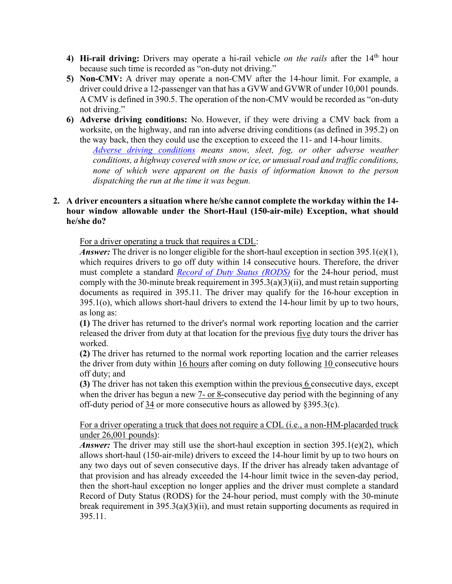- **4) Hi-rail driving:** Drivers may operate a hi-rail vehicle *on the rails* after the 14th hour because such time is recorded as "on-duty not driving."
- **5) Non-CMV:** A driver may operate a non-CMV after the 14-hour limit. For example, a driver could drive a 12-passenger van that has a GVW and GVWR of under 10,001 pounds. A CMV is defined in 390.5. The operation of the non-CMV would be recorded as "on-duty not driving."
- **6) Adverse driving conditions:** No. However, if they were driving a CMV back from a worksite, on the highway, and ran into adverse driving conditions (as defined in 395.2) on the way back, then they could use the exception to exceed the 11- and 14-hour limits.

*[Adverse driving conditions](https://csa.fmcsa.dot.gov/Documents/All_HOS_Fact_Sheets_508.pdf) means snow, sleet, fog, or other adverse weather conditions, a highway covered with snow or ice, or unusual road and traffic conditions, none of which were apparent on the basis of information known to the person dispatching the run at the time it was begun.*

## **2. A driver encounters a situation where he/she cannot complete the workday within the 14 hour window allowable under the Short-Haul (150-air-mile) Exception, what should he/she do?**

For a driver operating a truck that requires a CDL:

*Answer*: The driver is no longer eligible for the short-haul exception in section 395.1(e)(1), which requires drivers to go off duty within 14 consecutive hours. Therefore, the driver must complete a standard *[Record of Duty Status \(RODS\)](https://www.ecfr.gov/current/title-49/subtitle-B/chapter-III/subchapter-B/part-395/subpart-A/section-395.8)* for the 24-hour period, must comply with the 30-minute break requirement in  $395.3(a)(3)(ii)$ , and must retain supporting documents as required in 395.11. The driver may qualify for the 16-hour exception in 395.1(o), which allows short-haul drivers to extend the 14-hour limit by up to two hours, as long as:

**(1)** The driver has returned to the driver's normal work reporting location and the carrier released the driver from duty at that location for the previous five duty tours the driver has worked.

**(2)** The driver has returned to the normal work reporting location and the carrier releases the driver from duty within 16 hours after coming on duty following 10 consecutive hours off duty; and

**(3)** The driver has not taken this exemption within the previous 6 consecutive days, except when the driver has begun a new 7- or 8-consecutive day period with the beginning of any off-duty period of 34 or more consecutive hours as allowed by §395.3(c).

For a driver operating a truck that does not require a CDL (i.e., a non-HM-placarded truck under 26,001 pounds):

*Answer:* The driver may still use the short-haul exception in section 395.1(e)(2), which allows short-haul (150-air-mile) drivers to exceed the 14-hour limit by up to two hours on any two days out of seven consecutive days. If the driver has already taken advantage of that provision and has already exceeded the 14-hour limit twice in the seven-day period, then the short-haul exception no longer applies and the driver must complete a standard Record of Duty Status (RODS) for the 24-hour period, must comply with the 30-minute break requirement in  $395.3(a)(3)(ii)$ , and must retain supporting documents as required in 395.11.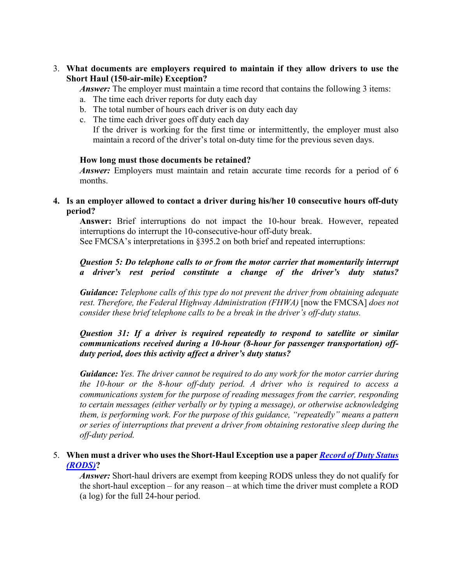3. **What documents are employers required to maintain if they allow drivers to use the Short Haul (150-air-mile) Exception?** 

*Answer*: The employer must maintain a time record that contains the following 3 items:

- a. The time each driver reports for duty each day
- b. The total number of hours each driver is on duty each day
- c. The time each driver goes off duty each day If the driver is working for the first time or intermittently, the employer must also maintain a record of the driver's total on-duty time for the previous seven days.

#### **How long must those documents be retained?**

*Answer:* Employers must maintain and retain accurate time records for a period of 6 months.

# **4. Is an employer allowed to contact a driver during his/her 10 consecutive hours off-duty period?**

**Answer:** Brief interruptions do not impact the 10-hour break. However, repeated interruptions do interrupt the 10-consecutive-hour off-duty break.

See FMCSA's interpretations in §395.2 on both brief and repeated interruptions:

# *Question 5: Do telephone calls to or from the motor carrier that momentarily interrupt a driver's rest period constitute a change of the driver's duty status?*

*Guidance: Telephone calls of this type do not prevent the driver from obtaining adequate rest. Therefore, the Federal Highway Administration (FHWA)* [now the FMCSA] *does not consider these brief telephone calls to be a break in the driver's off-duty status.*

# *Question 31: If a driver is required repeatedly to respond to satellite or similar communications received during a 10-hour (8-hour for passenger transportation) offduty period, does this activity affect a driver's duty status?*

*Guidance: Yes. The driver cannot be required to do any work for the motor carrier during the 10-hour or the 8-hour off-duty period. A driver who is required to access a communications system for the purpose of reading messages from the carrier, responding to certain messages (either verbally or by typing a message), or otherwise acknowledging them, is performing work. For the purpose of this guidance, "repeatedly" means a pattern or series of interruptions that prevent a driver from obtaining restorative sleep during the off-duty period.*

## 5. **When must a driver who uses the Short-Haul Exception use a paper** *[Record of Duty Status](https://www.ecfr.gov/current/title-49/subtitle-B/chapter-III/subchapter-B/part-395/subpart-A/section-395.8)  [\(RODS\)](https://www.ecfr.gov/current/title-49/subtitle-B/chapter-III/subchapter-B/part-395/subpart-A/section-395.8)***?**

*Answer:* Short-haul drivers are exempt from keeping RODS unless they do not qualify for the short-haul exception – for any reason – at which time the driver must complete a ROD (a log) for the full 24-hour period.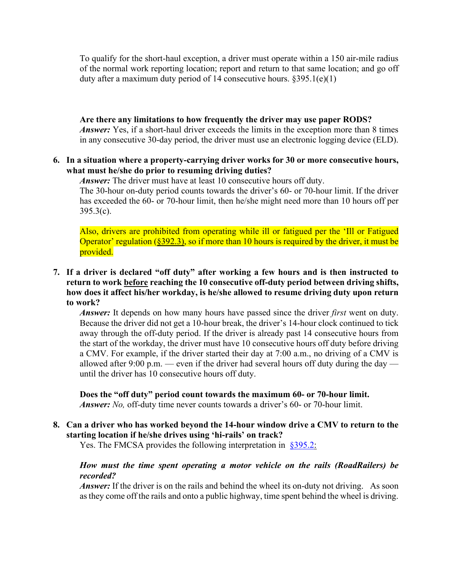To qualify for the short-haul exception, a driver must operate within a 150 air-mile radius of the normal work reporting location; report and return to that same location; and go off duty after a maximum duty period of 14 consecutive hours. §395.1(e)(1)

**Are there any limitations to how frequently the driver may use paper RODS?** *Answer*: Yes, if a short-haul driver exceeds the limits in the exception more than 8 times in any consecutive 30-day period, the driver must use an electronic logging device (ELD).

#### **6. In a situation where a property-carrying driver works for 30 or more consecutive hours, what must he/she do prior to resuming driving duties?**

*Answer:* The driver must have at least 10 consecutive hours off duty.

The 30-hour on-duty period counts towards the driver's 60- or 70-hour limit. If the driver has exceeded the 60- or 70-hour limit, then he/she might need more than 10 hours off per  $395.3(c)$ .

Also, drivers are prohibited from operating while ill or fatigued per the 'Ill or Fatigued Operator' regulation  $(\frac{8392.3)}{8}$ , so if more than 10 hours is required by the driver, it must be provided.

# **7. If a driver is declared "off duty" after working a few hours and is then instructed to return to work before reaching the 10 consecutive off-duty period between driving shifts, how does it affect his/her workday, is he/she allowed to resume driving duty upon return to work?**

*Answer:* It depends on how many hours have passed since the driver *first* went on duty. Because the driver did not get a 10-hour break, the driver's 14-hour clock continued to tick away through the off-duty period. If the driver is already past 14 consecutive hours from the start of the workday, the driver must have 10 consecutive hours off duty before driving a CMV. For example, if the driver started their day at 7:00 a.m., no driving of a CMV is allowed after 9:00 p.m. — even if the driver had several hours off duty during the day until the driver has 10 consecutive hours off duty.

**Does the "off duty" period count towards the maximum 60- or 70-hour limit.**  *Answer: No,* off-duty time never counts towards a driver's 60- or 70-hour limit.

# **8. Can a driver who has worked beyond the 14-hour window drive a CMV to return to the starting location if he/she drives using 'hi-rails' on track?**

Yes. The FMCSA provides the following interpretation in [§395.2:](https://www.fmcsa.dot.gov/regulations/title49/section/395.2)

## *How must the time spent operating a motor vehicle on the rails (RoadRailers) be recorded?*

*Answer:* If the driver is on the rails and behind the wheel its on-duty not driving. As soon as they come off the rails and onto a public highway, time spent behind the wheel is driving.